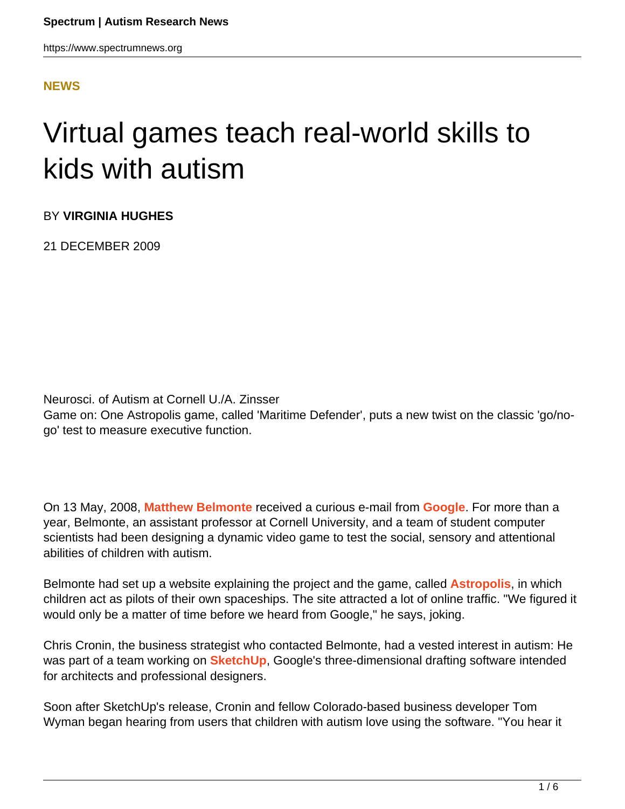#### **[NEWS](HTTPS://WWW.SPECTRUMNEWS.ORG/NEWS/)**

# Virtual games teach real-world skills to kids with autism

BY **VIRGINIA HUGHES**

21 DECEMBER 2009

Neurosci. of Autism at Cornell U./A. Zinsser Game on: One Astropolis game, called 'Maritime Defender', puts a new twist on the classic 'go/nogo' test to measure executive function.

On 13 May, 2008, **[Matthew Belmonte](http://www.mattababy.org/~belmonte/)** received a curious e-mail from **[Google](http://www.google.com)**. For more than a year, Belmonte, an assistant professor at Cornell University, and a team of student computer scientists had been designing a dynamic video game to test the social, sensory and attentional abilities of children with autism.

Belmonte had set up a website explaining the project and the game, called **[Astropolis](http://www.autismcollaborative.org/download.html)**, in which children act as pilots of their own spaceships. The site attracted a lot of online traffic. "We figured it would only be a matter of time before we heard from Google," he says, joking.

Chris Cronin, the business strategist who contacted Belmonte, had a vested interest in autism: He was part of a team working on **[SketchUp](http://sketchup.google.com/)**, Google's three-dimensional drafting software intended for architects and professional designers.

Soon after SketchUp's release, Cronin and fellow Colorado-based business developer Tom Wyman began hearing from users that children with autism love using the software. "You hear it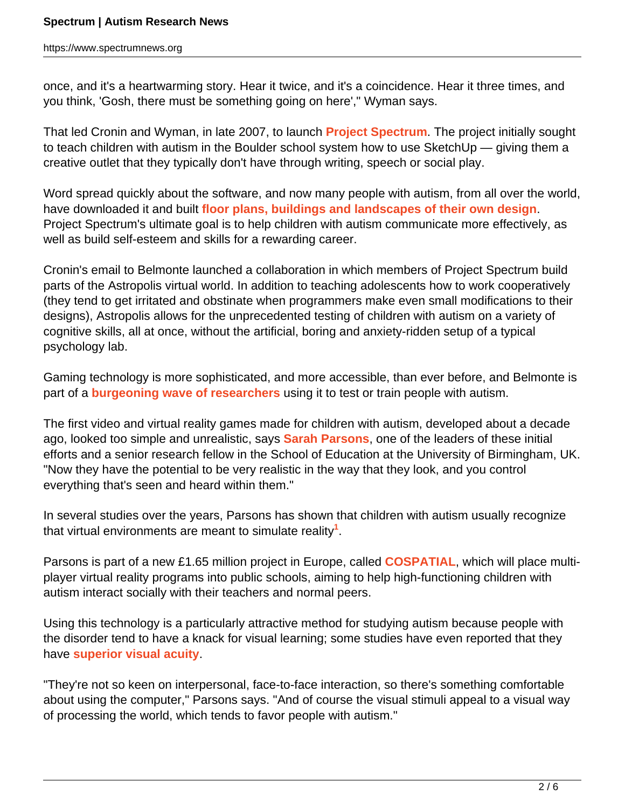once, and it's a heartwarming story. Hear it twice, and it's a coincidence. Hear it three times, and you think, 'Gosh, there must be something going on here'," Wyman says.

That led Cronin and Wyman, in late 2007, to launch **[Project Spectrum](http://www.google.com/educators/spectrum.html)**. The project initially sought to teach children with autism in the Boulder school system how to use SketchUp — giving them a creative outlet that they typically don't have through writing, speech or social play.

Word spread quickly about the software, and now many people with autism, from all over the world, have downloaded it and built **[floor plans, buildings and landscapes of their own design](http://sketchup.google.com/3dwarehouse/cldetails?mid=be3de3be31be4d088aee1e8fa383e7d3)**. Project Spectrum's ultimate goal is to help children with autism communicate more effectively, as well as build self-esteem and skills for a rewarding career.

Cronin's email to Belmonte launched a collaboration in which members of Project Spectrum build parts of the Astropolis virtual world. In addition to teaching adolescents how to work cooperatively (they tend to get irritated and obstinate when programmers make even small modifications to their designs), Astropolis allows for the unprecedented testing of children with autism on a variety of cognitive skills, all at once, without the artificial, boring and anxiety-ridden setup of a typical psychology lab.

Gaming technology is more sophisticated, and more accessible, than ever before, and Belmonte is part of a **[burgeoning wave of researchers](https://www.spectrumnews.org/news/2008/virtual-peers-teach-real-life-skills)** using it to test or train people with autism.

The first video and virtual reality games made for children with autism, developed about a decade ago, looked too simple and unrealistic, says **[Sarah Parsons](http://www.education.bham.ac.uk/staff/parsons_sarah.shtml)**, one of the leaders of these initial efforts and a senior research fellow in the School of Education at the University of Birmingham, UK. "Now they have the potential to be very realistic in the way that they look, and you control everything that's seen and heard within them."

In several studies over the years, Parsons has shown that children with autism usually recognize that virtual environments are meant to simulate reality**<sup>1</sup>** .

Parsons is part of a new £1.65 million project in Europe, called **[COSPATIAL](http://cospatial.fbk.eu/people)**, which will place multiplayer virtual reality programs into public schools, aiming to help high-functioning children with autism interact socially with their teachers and normal peers.

Using this technology is a particularly attractive method for studying autism because people with the disorder tend to have a knack for visual learning; some studies have even reported that they have **[superior visual acuity](https://www.spectrumnews.org/news/2009/autism-often-accompanied-by-super-vision-studies-find)**.

"They're not so keen on interpersonal, face-to-face interaction, so there's something comfortable about using the computer," Parsons says. "And of course the visual stimuli appeal to a visual way of processing the world, which tends to favor people with autism."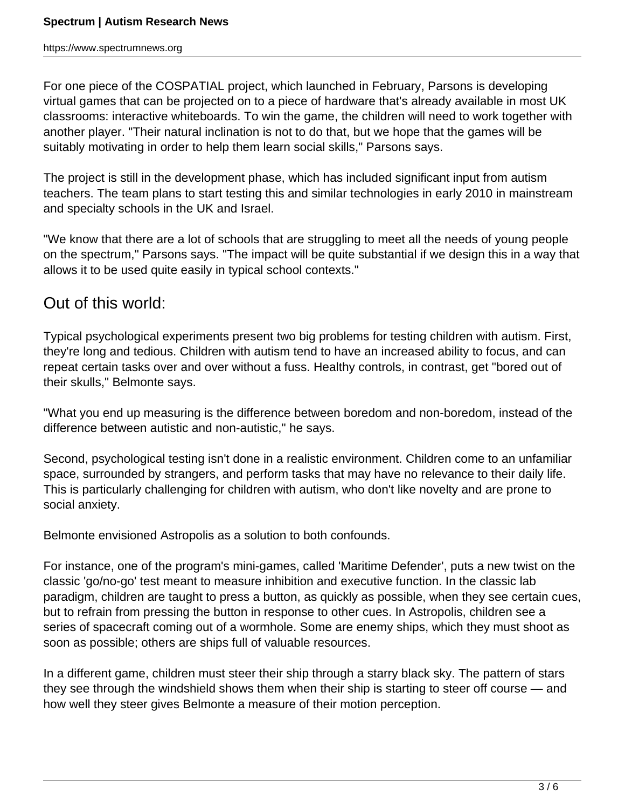For one piece of the COSPATIAL project, which launched in February, Parsons is developing virtual games that can be projected on to a piece of hardware that's already available in most UK classrooms: interactive whiteboards. To win the game, the children will need to work together with another player. "Their natural inclination is not to do that, but we hope that the games will be suitably motivating in order to help them learn social skills," Parsons says.

The project is still in the development phase, which has included significant input from autism teachers. The team plans to start testing this and similar technologies in early 2010 in mainstream and specialty schools in the UK and Israel.

"We know that there are a lot of schools that are struggling to meet all the needs of young people on the spectrum," Parsons says. "The impact will be quite substantial if we design this in a way that allows it to be used quite easily in typical school contexts."

### Out of this world:

Typical psychological experiments present two big problems for testing children with autism. First, they're long and tedious. Children with autism tend to have an increased ability to focus, and can repeat certain tasks over and over without a fuss. Healthy controls, in contrast, get "bored out of their skulls," Belmonte says.

"What you end up measuring is the difference between boredom and non-boredom, instead of the difference between autistic and non-autistic," he says.

Second, psychological testing isn't done in a realistic environment. Children come to an unfamiliar space, surrounded by strangers, and perform tasks that may have no relevance to their daily life. This is particularly challenging for children with autism, who don't like novelty and are prone to social anxiety.

Belmonte envisioned Astropolis as a solution to both confounds.

For instance, one of the program's mini-games, called 'Maritime Defender', puts a new twist on the classic 'go/no-go' test meant to measure inhibition and executive function. In the classic lab paradigm, children are taught to press a button, as quickly as possible, when they see certain cues, but to refrain from pressing the button in response to other cues. In Astropolis, children see a series of spacecraft coming out of a wormhole. Some are enemy ships, which they must shoot as soon as possible; others are ships full of valuable resources.

In a different game, children must steer their ship through a starry black sky. The pattern of stars they see through the windshield shows them when their ship is starting to steer off course — and how well they steer gives Belmonte a measure of their motion perception.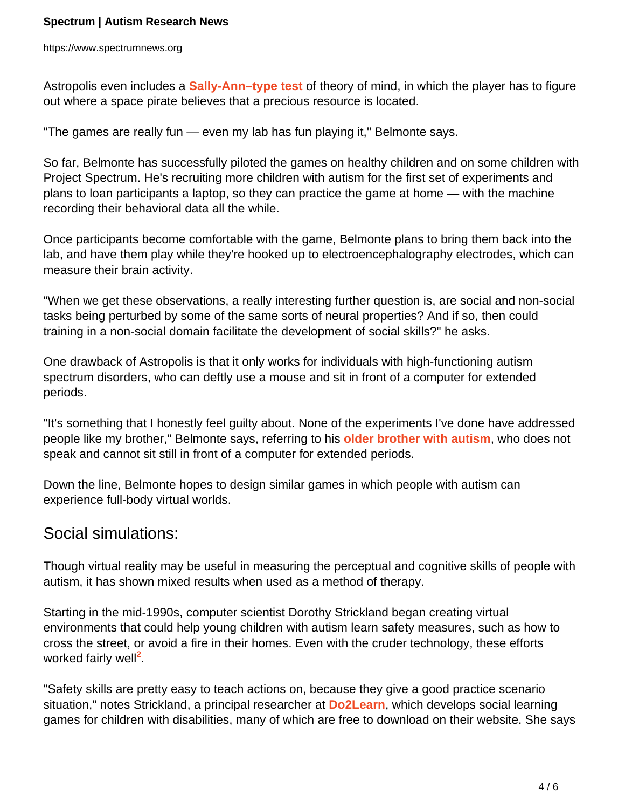Astropolis even includes a **[Sally-Ann–type test](https://www.spectrumnews.org/classic-paper-reviews/2008/1985-paper-on-the-theory-of-mind-commentary-by-rebecca-saxe)** of theory of mind, in which the player has to figure out where a space pirate believes that a precious resource is located.

"The games are really fun — even my lab has fun playing it," Belmonte says.

So far, Belmonte has successfully piloted the games on healthy children and on some children with Project Spectrum. He's recruiting more children with autism for the first set of experiments and plans to loan participants a laptop, so they can practice the game at home — with the machine recording their behavioral data all the while.

Once participants become comfortable with the game, Belmonte plans to bring them back into the lab, and have them play while they're hooked up to electroencephalography electrodes, which can measure their brain activity.

"When we get these observations, a really interesting further question is, are social and non-social tasks being perturbed by some of the same sorts of neural properties? And if so, then could training in a non-social domain facilitate the development of social skills?" he asks.

One drawback of Astropolis is that it only works for individuals with high-functioning autism spectrum disorders, who can deftly use a mouse and sit in front of a computer for extended periods.

"It's something that I honestly feel guilty about. None of the experiments I've done have addressed people like my brother," Belmonte says, referring to his **[older brother with autism](https://www.spectrumnews.org/news/2009/family-ties-compel-some-scientists-to-tackle-autism)**, who does not speak and cannot sit still in front of a computer for extended periods.

Down the line, Belmonte hopes to design similar games in which people with autism can experience full-body virtual worlds.

## Social simulations:

Though virtual reality may be useful in measuring the perceptual and cognitive skills of people with autism, it has shown mixed results when used as a method of therapy.

Starting in the mid-1990s, computer scientist Dorothy Strickland began creating virtual environments that could help young children with autism learn safety measures, such as how to cross the street, or avoid a fire in their homes. Even with the cruder technology, these efforts worked fairly well<sup>2</sup>.

"Safety skills are pretty easy to teach actions on, because they give a good practice scenario situation," notes Strickland, a principal researcher at **[Do2Learn](http://www.do2learn.com/)**, which develops social learning games for children with disabilities, many of which are free to download on their website. She says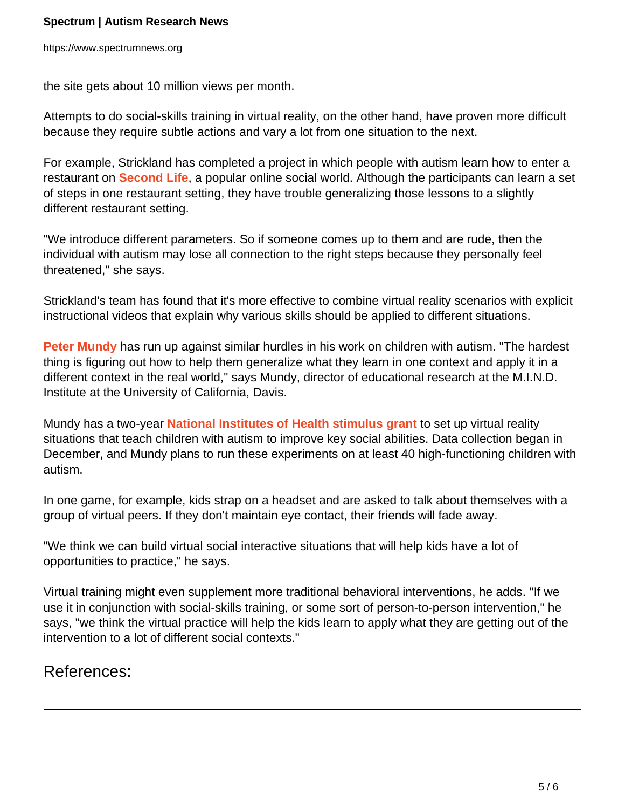the site gets about 10 million views per month.

Attempts to do social-skills training in virtual reality, on the other hand, have proven more difficult because they require subtle actions and vary a lot from one situation to the next.

For example, Strickland has completed a project in which people with autism learn how to enter a restaurant on **[Second Life](http://secondlife.com/)**, a popular online social world. Although the participants can learn a set of steps in one restaurant setting, they have trouble generalizing those lessons to a slightly different restaurant setting.

"We introduce different parameters. So if someone comes up to them and are rude, then the individual with autism may lose all connection to the right steps because they personally feel threatened," she says.

Strickland's team has found that it's more effective to combine virtual reality scenarios with explicit instructional videos that explain why various skills should be applied to different situations.

**[Peter Mundy](http://www.ucdmc.ucdavis.edu/mindinstitute/ourteam/faculty_staff/mundy.html)** has run up against similar hurdles in his work on children with autism. "The hardest thing is figuring out how to help them generalize what they learn in one context and apply it in a different context in the real world," says Mundy, director of educational research at the M.I.N.D. Institute at the University of California, Davis.

Mundy has a two-year **[National Institutes of Health stimulus grant](https://www.spectrumnews.org/news/2009/stimulus-money-set-to-fund-autism-research)** to set up virtual reality situations that teach children with autism to improve key social abilities. Data collection began in December, and Mundy plans to run these experiments on at least 40 high-functioning children with autism.

In one game, for example, kids strap on a headset and are asked to talk about themselves with a group of virtual peers. If they don't maintain eye contact, their friends will fade away.

"We think we can build virtual social interactive situations that will help kids have a lot of opportunities to practice," he says.

Virtual training might even supplement more traditional behavioral interventions, he adds. "If we use it in conjunction with social-skills training, or some sort of person-to-person intervention," he says, "we think the virtual practice will help the kids learn to apply what they are getting out of the intervention to a lot of different social contexts."

#### References: